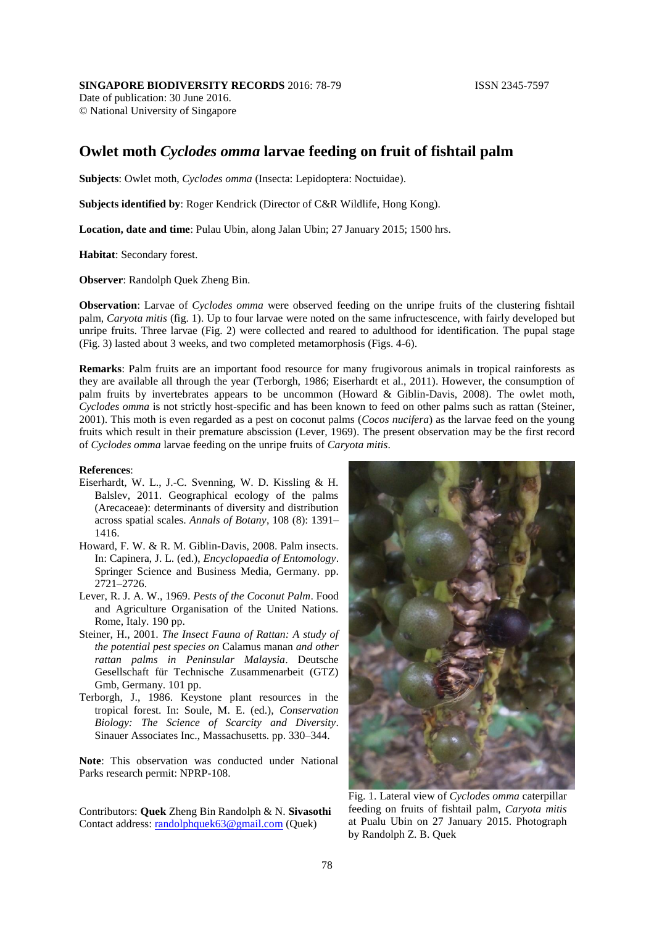## **SINGAPORE BIODIVERSITY RECORDS** 2016: 78-79 **ISSN 2345-7597**

Date of publication: 30 June 2016. © National University of Singapore

## **Owlet moth** *Cyclodes omma* **larvae feeding on fruit of fishtail palm**

**Subjects**: Owlet moth, *Cyclodes omma* (Insecta: Lepidoptera: Noctuidae).

**Subjects identified by**: Roger Kendrick (Director of C&R Wildlife, Hong Kong).

**Location, date and time**: Pulau Ubin, along Jalan Ubin; 27 January 2015; 1500 hrs.

**Habitat**: Secondary forest.

**Observer**: Randolph Quek Zheng Bin.

**Observation**: Larvae of *Cyclodes omma* were observed feeding on the unripe fruits of the clustering fishtail palm, *Caryota mitis* (fig. 1). Up to four larvae were noted on the same infructescence, with fairly developed but unripe fruits. Three larvae (Fig. 2) were collected and reared to adulthood for identification. The pupal stage (Fig. 3) lasted about 3 weeks, and two completed metamorphosis (Figs. 4-6).

**Remarks**: Palm fruits are an important food resource for many frugivorous animals in tropical rainforests as they are available all through the year (Terborgh, 1986; Eiserhardt et al., 2011). However, the consumption of palm fruits by invertebrates appears to be uncommon (Howard & Giblin-Davis, 2008). The owlet moth, *Cyclodes omma* is not strictly host-specific and has been known to feed on other palms such as rattan (Steiner, 2001). This moth is even regarded as a pest on coconut palms (*Cocos nucifera*) as the larvae feed on the young fruits which result in their premature abscission (Lever, 1969). The present observation may be the first record of *Cyclodes omma* larvae feeding on the unripe fruits of *Caryota mitis*.

## **References**:

- Eiserhardt, W. L., J.-C. Svenning, W. D. Kissling & H. Balslev, 2011. Geographical ecology of the palms (Arecaceae): determinants of diversity and distribution across spatial scales. *Annals of Botany*, 108 (8): 1391– 1416.
- Howard, F. W. & R. M. Giblin-Davis, 2008. Palm insects. In: Capinera, J. L. (ed.), *Encyclopaedia of Entomology*. Springer Science and Business Media, Germany. pp. 2721–2726.
- Lever, R. J. A. W., 1969. *Pests of the Coconut Palm*. Food and Agriculture Organisation of the United Nations. Rome, Italy. 190 pp.
- Steiner, H., 2001. *The Insect Fauna of Rattan: A study of the potential pest species on* Calamus manan *and other rattan palms in Peninsular Malaysia*. Deutsche Gesellschaft für Technische Zusammenarbeit (GTZ) Gmb, Germany. 101 pp.
- Terborgh, J., 1986. Keystone plant resources in the tropical forest. In: Soule, M. E. (ed.), *Conservation Biology: The Science of Scarcity and Diversity*. Sinauer Associates Inc., Massachusetts. pp. 330–344.

**Note**: This observation was conducted under National Parks research permit: NPRP-108.

Contributors: **Quek** Zheng Bin Randolph & N. **Sivasothi** Contact address: [randolphquek63@gmail.com](mailto:randolphquek63@gmail.com) (Quek)



Fig. 1. Lateral view of *Cyclodes omma* caterpillar feeding on fruits of fishtail palm, *Caryota mitis* at Pualu Ubin on 27 January 2015. Photograph by Randolph Z. B. Quek